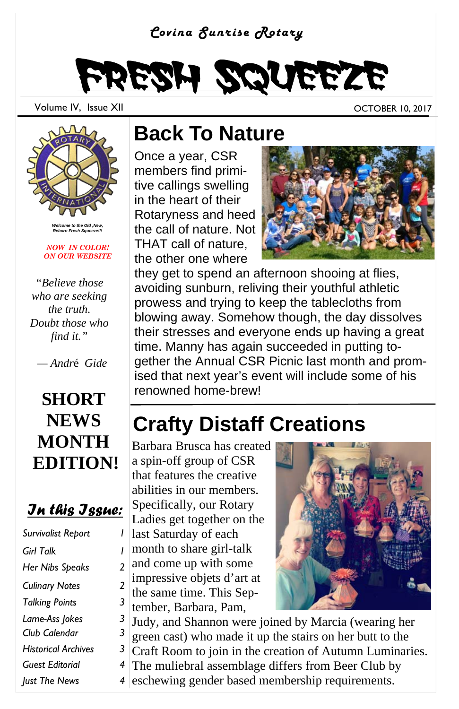#### *Covina Sunrise Rotary*



Volume IV, Issue XII and the control of the control of the control of the control of the control of the control of the control of the control of the control of the control of the control of the control of the control of th



*Welcome to the Old ,New, Reborn Fresh Squeeze!!!* 

*NOW IN COLOR! ON OUR WEBSITE* 

*"Believe those who are seeking the truth. Doubt those who find it."* 

 *— Andr*é *Gide* 

## **SHORT NEWS MONTH EDITION!**

#### *In this Issue:*

| Survivalist Report         |   |
|----------------------------|---|
| <b>Girl Talk</b>           | ı |
| Her Nibs Speaks            | 2 |
| <b>Culinary Notes</b>      | 2 |
| <b>Talking Points</b>      | 3 |
| Lame-Ass Jokes             | 3 |
| Club Calendar              | 3 |
| <b>Historical Archives</b> | 3 |
| Guest Editorial            | 4 |
| Just The News              | 4 |

## **Back To Nature**

Once a year, CSR members find primitive callings swelling in the heart of their Rotaryness and heed the call of nature. Not THAT call of nature, the other one where



they get to spend an afternoon shooing at flies, avoiding sunburn, reliving their youthful athletic prowess and trying to keep the tablecloths from blowing away. Somehow though, the day dissolves their stresses and everyone ends up having a great time. Manny has again succeeded in putting together the Annual CSR Picnic last month and promised that next year's event will include some of his renowned home-brew!

## **Crafty Distaff Creations**

Barbara Brusca has created a spin-off group of CSR that features the creative abilities in our members. Specifically, our Rotary Ladies get together on the last Saturday of each month to share girl-talk and come up with some impressive objets d'art at the same time. This September, Barbara, Pam,



Judy, and Shannon were joined by Marcia (wearing her green cast) who made it up the stairs on her butt to the Craft Room to join in the creation of Autumn Luminaries. The muliebral assemblage differs from Beer Club by eschewing gender based membership requirements.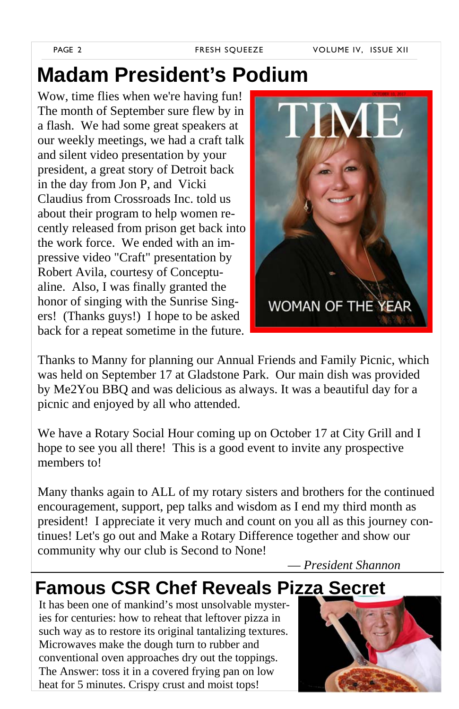## **Madam President's Podium**

Wow, time flies when we're having fun! The month of September sure flew by in a flash. We had some great speakers at our weekly meetings, we had a craft talk and silent video presentation by your president, a great story of Detroit back in the day from Jon P, and Vicki Claudius from Crossroads Inc. told us about their program to help women recently released from prison get back into the work force. We ended with an impressive video "Craft" presentation by Robert Avila, courtesy of Conceptualine. Also, I was finally granted the honor of singing with the Sunrise Singers! (Thanks guys!) I hope to be asked back for a repeat sometime in the future.



Thanks to Manny for planning our Annual Friends and Family Picnic, which was held on September 17 at Gladstone Park. Our main dish was provided by Me2You BBQ and was delicious as always. It was a beautiful day for a picnic and enjoyed by all who attended.

We have a Rotary Social Hour coming up on October 17 at City Grill and I hope to see you all there! This is a good event to invite any prospective members to!

Many thanks again to ALL of my rotary sisters and brothers for the continued encouragement, support, pep talks and wisdom as I end my third month as president! I appreciate it very much and count on you all as this journey continues! Let's go out and Make a Rotary Difference together and show our community why our club is Second to None!

— *President Shannon*

## **Famous CSR Chef Reveals Pizza Secret**

It has been one of mankind's most unsolvable mysteries for centuries: how to reheat that leftover pizza in such way as to restore its original tantalizing textures. Microwaves make the dough turn to rubber and conventional oven approaches dry out the toppings. The Answer: toss it in a covered frying pan on low heat for 5 minutes. Crispy crust and moist tops!

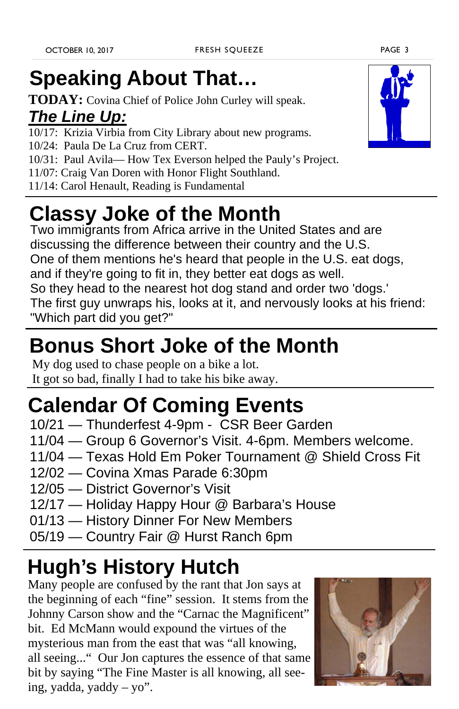# **Speaking About That…**

**TODAY:** Covina Chief of Police John Curley will speak.

## *The Line Up:*

- 10/17: Krizia Virbia from City Library about new programs.
- 10/24: Paula De La Cruz from CERT.
- 10/31: Paul Avila— How Tex Everson helped the Pauly's Project.
- 11/07: Craig Van Doren with Honor Flight Southland.
- 11/14: Carol Henault, Reading is Fundamental

# **Classy Joke of the Month**

Two immigrants from Africa arrive in the United States and are discussing the difference between their country and the U.S. One of them mentions he's heard that people in the U.S. eat dogs, and if they're going to fit in, they better eat dogs as well. So they head to the nearest hot dog stand and order two 'dogs.' The first guy unwraps his, looks at it, and nervously looks at his friend:

"Which part did you get?"

# **Bonus Short Joke of the Month**

My dog used to chase people on a bike a lot. It got so bad, finally I had to take his bike away.

## **Calendar Of Coming Events**

- 10/21 Thunderfest 4-9pm CSR Beer Garden
- 11/04 Group 6 Governor's Visit. 4-6pm. Members welcome.
- 11/04 Texas Hold Em Poker Tournament @ Shield Cross Fit
- 12/02 Covina Xmas Parade 6:30pm
- 12/05 District Governor's Visit
- 12/17 Holiday Happy Hour @ Barbara's House
- 01/13 History Dinner For New Members
- 05/19 Country Fair @ Hurst Ranch 6pm

# **Hugh's History Hutch**

Many people are confused by the rant that Jon says at the beginning of each "fine" session. It stems from the Johnny Carson show and the "Carnac the Magnificent" bit. Ed McMann would expound the virtues of the mysterious man from the east that was "all knowing, all seeing..." Our Jon captures the essence of that same bit by saying "The Fine Master is all knowing, all seeing, yadda, yaddy – yo".